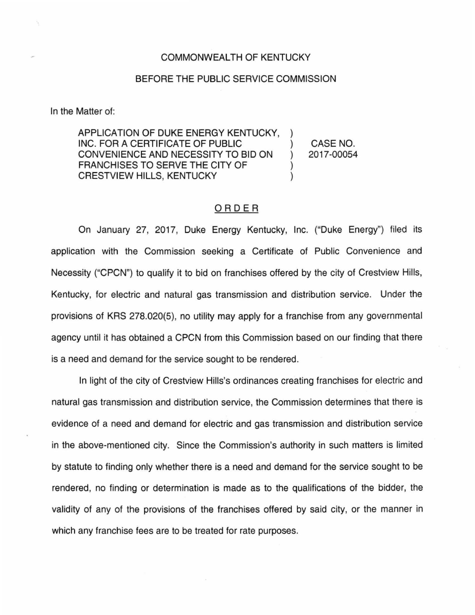## COMMONWEALTH OF KENTUCKY

## BEFORE THE PUBLIC SERVICE COMMISSION

In the Matter of:

APPLICATION OF DUKE ENERGY KENTUCKY. INC. FOR A CERTIFICATE OF PUBLIC CONVENIENCE AND NECESSITY TO BID ON ) FRANCHISES TO SERVE THE CITY OF **CRESTVIEW HILLS, KENTUCKY** 

CASE NO. 2017-00054

## ORDER

On January 27, 2017, Duke Energy Kentucky, Inc. ("Duke Energy") filed its application with the Commission seeking a Certificate of Public Convenience and Necessity ("CPCN") to qualify it to bid on franchises offered by the city of Crestview Hills, Kentucky, for electric and natural gas transmission and distribution service. Under the provisions of KRS 278.020(5), no utility may apply for a franchise from any governmental agency until it has obtained a CPCN from this Commission based on our finding that there is a need and demand for the service sought to be rendered.

In light of the city of Crestview Hills's ordinances creating franchises for electric and natural gas transmission and distribution service, the Commission determines that there is evidence of a need and demand for electric and gas transmission and distribution service in the above-mentioned city. Since the Commission's authority in such matters is limited by statute to finding only whether there is a need and demand for the service sought to be rendered, no finding or determination is made as to the qualifications of the bidder, the validity of any of the provisions of the franchises offered by said city, or the manner in which any franchise fees are to be treated for rate purposes.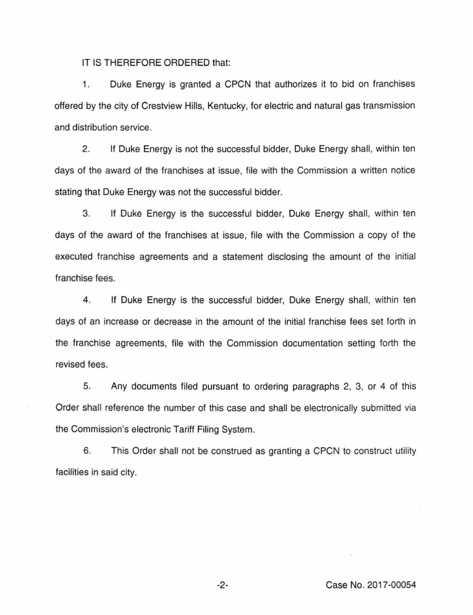IT IS THEREFORE ORDERED that:

1. Duke Energy is granted a CPCN that authorizes it to bid on franchises offered by the city of Crestview Hills, Kentucky, for electric and natural gas transmission and distribution service.

2. If Duke Energy is not the successful bidder, Duke Energy shall, within ten days of the award of the franchises at issue, file with the Commission a written notice stating that Duke Energy was not the successful bidder.

3. If Duke Energy is the successful bidder, Duke Energy shall, within ten days of the award of the franchises at issue, file with the Commission a copy of the executed franchise agreements and a statement disclosing the amount of the initial franchise fees.

4. If Duke Energy is the successful bidder, Duke Energy shall, within ten days of an increase or decrease in the amount of the initial franchise fees set forth in the franchise agreements, file with the Commission documentation setting forth the revised fees.

5. Any documents filed pursuant to ordering paragraphs 2, 3, or 4 of this Order shall reference the number of this case and shall be electronically submitted via the Commission's electronic Tariff Filing System.

6. This Order shall not be construed as granting a CPCN to construct utility facilities in said city.

-2- Case No. 2017-00054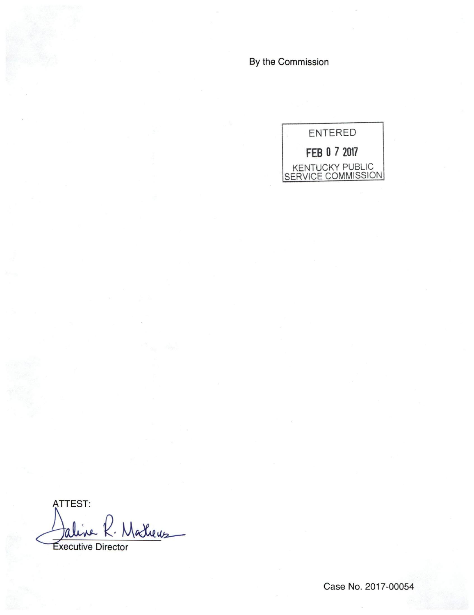By the Commission



ATTEST: taline R. Matheus

Executive Director